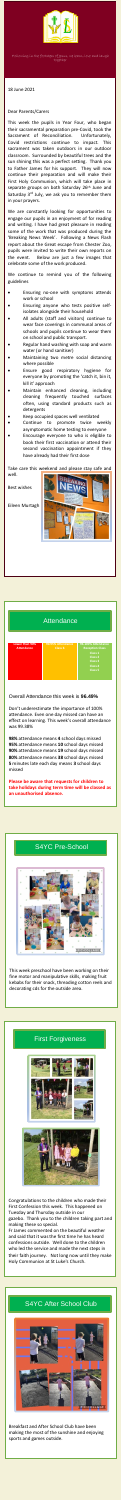.



Following in the footsteps of Jesus, we learn, love and laugh together

**Lower than 90% Attendance**

**90-95% Attendance**

**96-100% Attendance Reception Class Class 1 Class 2 Class 3 Class 4 Class 5**

#### Overall Attendance this week is **96.49%**

Don't underestimate the importance of 100% attendance. Even one day missed can have an effect on learning. This week's overall attendance was 99.38%

**98%** attendance means **4** school days missed **95%** attendance means **10** school days missed **90%** attendance means **19** school days missed **80%** attendance means **38** school days missed **5** minutes late each day means **3** school days missed

**Please be aware that requests for children to take holidays during term time will be classed as an unauthorised absence.**

### S4YC Pre-School



This week preschool have been working on their fine motor and manipulative skills, making fruit kebabs for their snack, threading cotton reels and decorating cds for the outside area.

### First Forgiveness





Congratulations to the children who made their First Confession this week. This happened on Tuesday and Thursday outside in our gazebo. Thank you to the children taking part and making these so special.

Fr James commented on the beautiful weather and said that it was the first time he has heard confessions outside. Well done to the children who led the service and made the next steps in their faith journey. Not long now until they make Holy Communion at St Luke's Church.

#### 18 June 2021

#### Dear Parents/Carers

This week the pupils in Year Four, who began their sacramental preparation pre-Covid, took the Sacrament of Reconciliation. Unfortunately, Covid restrictions continue to impact. This sacrament was taken outdoors in our outdoor classroom. Surrounded by beautiful trees and the sun shining this was a perfect setting. Thank you to Father James for his support. They will now continue their preparation and will make their First Holy Communion, which will take place in separate groups on both Saturday 26<sup>th</sup> June and Saturday 3<sup>rd</sup> July, we ask you to remember them in your prayers.

We are constantly looking for opportunities to engage our pupils in an enjoyment of for reading and writing. I have had great pleasure in reading some of the work that was produced during the 'Breaking News Week'. Following a News Flash report about the Great escape from Chester Zoo, pupils were invited to write their own reports on the event. Below are just a few images that celebrate some of the work produced.

We continue to remind you of the following guidelines

- Ensuring no-one with symptoms attends work or school
- Ensuring anyone who tests positive selfisolates alongside their household
- All adults (staff and visitors) continue to wear face coverings in communal areas of schools and pupils continue to wear them on school and public transport.
- Regular hand washing with soap and warm water (or hand sanitiser)
- Maintaining two metre social distancing where possible
- Ensure good respiratory hygiene for everyone by promoting the 'catch it, bin it, kill it' approach
- Maintain enhanced cleaning, including cleaning frequently touched surfaces often, using standard products such as detergents
- Keep occupied spaces well ventilated
- Continue to promote twice weekly asymptomatic home testing to everyone Encourage everyone to who is eligible to book their first vaccination or attend their
	- second vaccination appointment if they have already had their first dose

Take care this weekend and please stay safe and well.

Best wishes

Eileen Murtagh



# **Attendance**

### S4YC After School Club



Breakfast and After School Club have been making the most of the sunshine and enjoying sports and games outside.